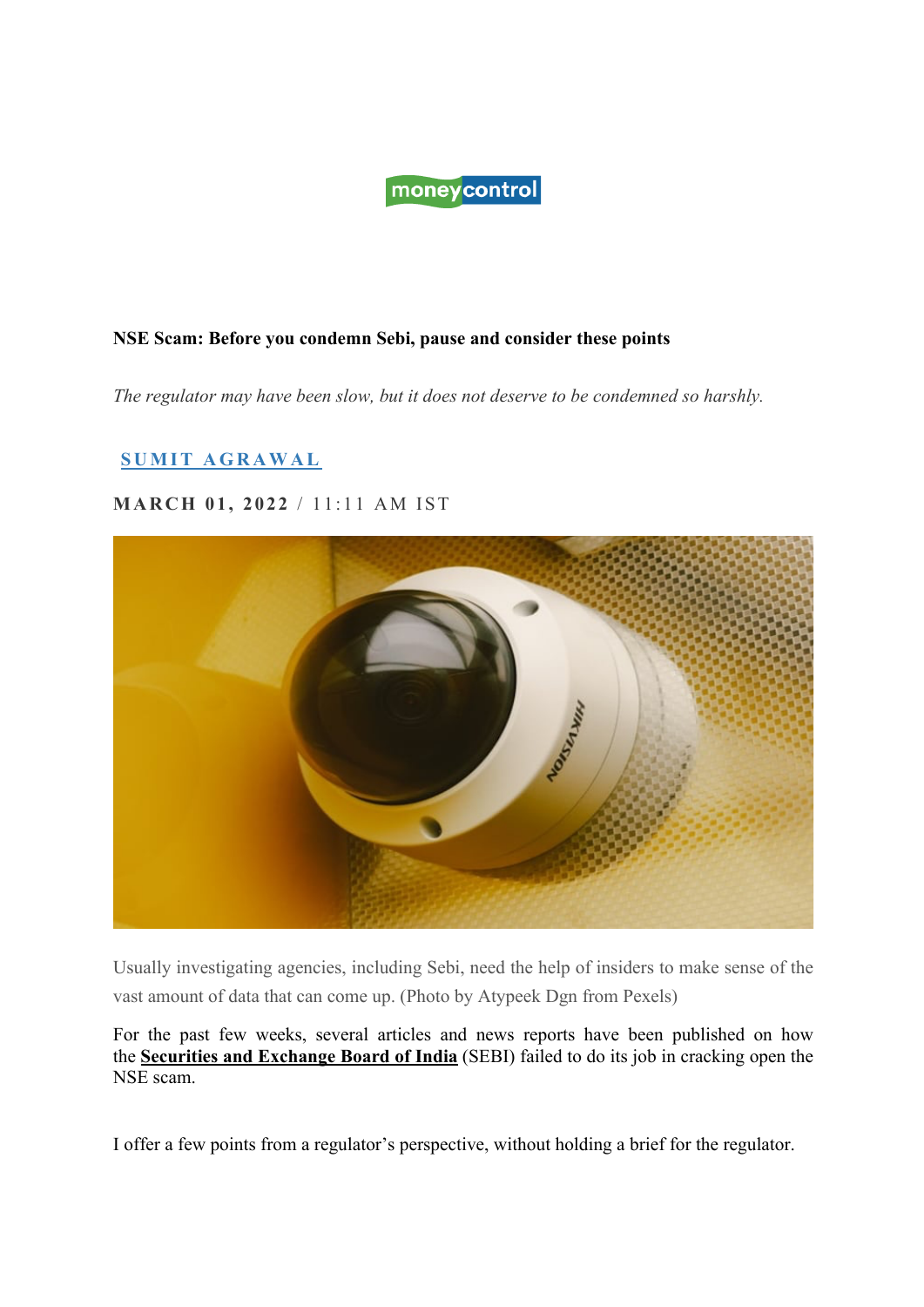# moneycontrol

### **NSE Scam: Before you condemn Sebi, pause and consider these points**

*The regulator may have been slow, but it does not deserve to be condemned so harshly.*

## **SUMIT AGRAWAL**

### **MARCH 01, 2022** / 11:11 AM IST



Usually investigating agencies, including Sebi, need the help of insiders to make sense of the vast amount of data that can come up. (Photo by Atypeek Dgn from Pexels)

For the past few weeks, several articles and news reports have been published on how the **Securities and Exchange Board of India** (SEBI) failed to do its job in cracking open the NSE scam.

I offer a few points from a regulator's perspective, without holding a brief for the regulator.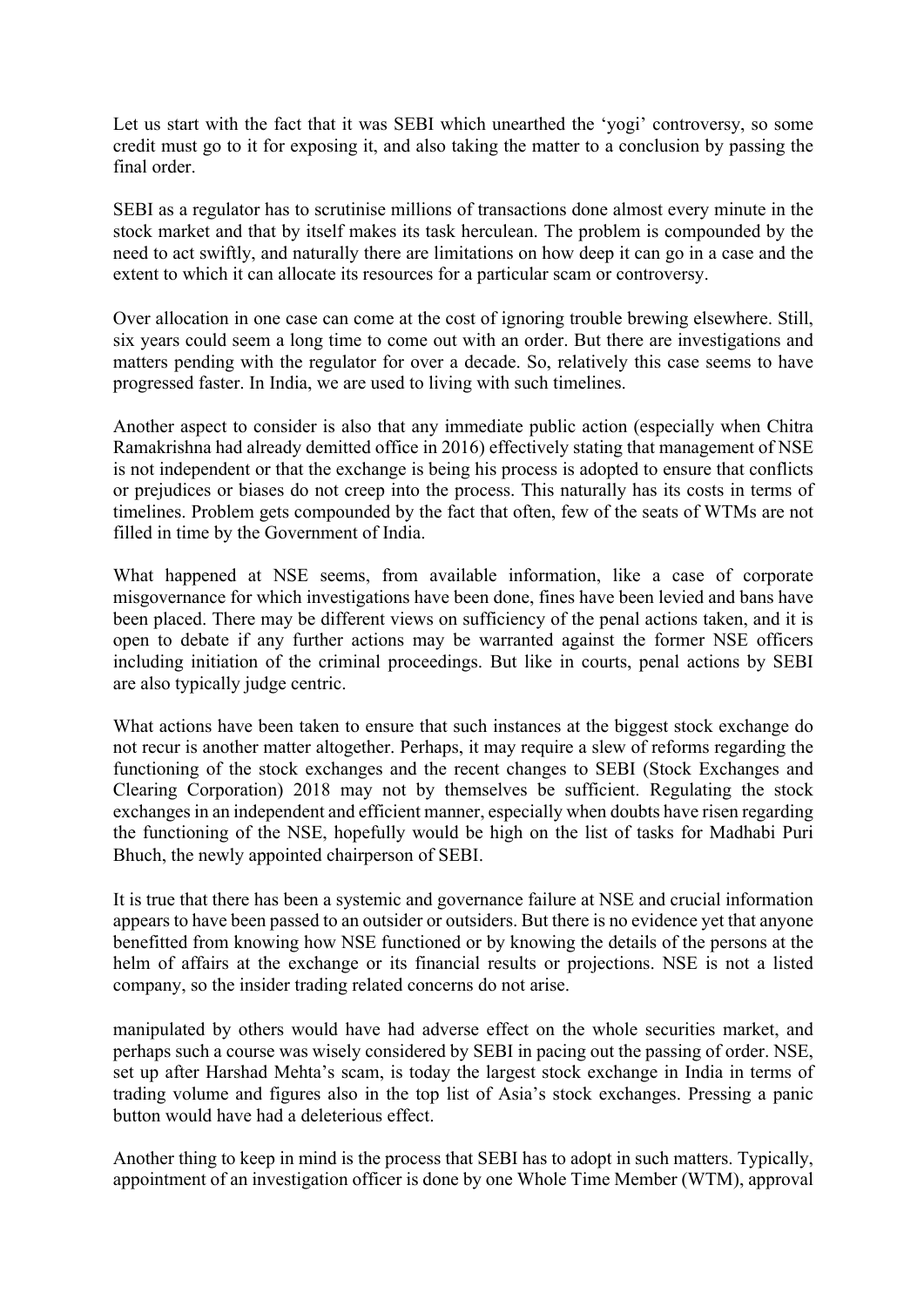Let us start with the fact that it was SEBI which unearthed the 'yogi' controversy, so some credit must go to it for exposing it, and also taking the matter to a conclusion by passing the final order.

SEBI as a regulator has to scrutinise millions of transactions done almost every minute in the stock market and that by itself makes its task herculean. The problem is compounded by the need to act swiftly, and naturally there are limitations on how deep it can go in a case and the extent to which it can allocate its resources for a particular scam or controversy.

Over allocation in one case can come at the cost of ignoring trouble brewing elsewhere. Still, six years could seem a long time to come out with an order. But there are investigations and matters pending with the regulator for over a decade. So, relatively this case seems to have progressed faster. In India, we are used to living with such timelines.

Another aspect to consider is also that any immediate public action (especially when Chitra Ramakrishna had already demitted office in 2016) effectively stating that management of NSE is not independent or that the exchange is being his process is adopted to ensure that conflicts or prejudices or biases do not creep into the process. This naturally has its costs in terms of timelines. Problem gets compounded by the fact that often, few of the seats of WTMs are not filled in time by the Government of India.

What happened at NSE seems, from available information, like a case of corporate misgovernance for which investigations have been done, fines have been levied and bans have been placed. There may be different views on sufficiency of the penal actions taken, and it is open to debate if any further actions may be warranted against the former NSE officers including initiation of the criminal proceedings. But like in courts, penal actions by SEBI are also typically judge centric.

What actions have been taken to ensure that such instances at the biggest stock exchange do not recur is another matter altogether. Perhaps, it may require a slew of reforms regarding the functioning of the stock exchanges and the recent changes to SEBI (Stock Exchanges and Clearing Corporation) 2018 may not by themselves be sufficient. Regulating the stock exchanges in an independent and efficient manner, especially when doubts have risen regarding the functioning of the NSE, hopefully would be high on the list of tasks for Madhabi Puri Bhuch, the newly appointed chairperson of SEBI.

It is true that there has been a systemic and governance failure at NSE and crucial information appears to have been passed to an outsider or outsiders. But there is no evidence yet that anyone benefitted from knowing how NSE functioned or by knowing the details of the persons at the helm of affairs at the exchange or its financial results or projections. NSE is not a listed company, so the insider trading related concerns do not arise.

manipulated by others would have had adverse effect on the whole securities market, and perhaps such a course was wisely considered by SEBI in pacing out the passing of order. NSE, set up after Harshad Mehta's scam, is today the largest stock exchange in India in terms of trading volume and figures also in the top list of Asia's stock exchanges. Pressing a panic button would have had a deleterious effect.

Another thing to keep in mind is the process that SEBI has to adopt in such matters. Typically, appointment of an investigation officer is done by one Whole Time Member (WTM), approval